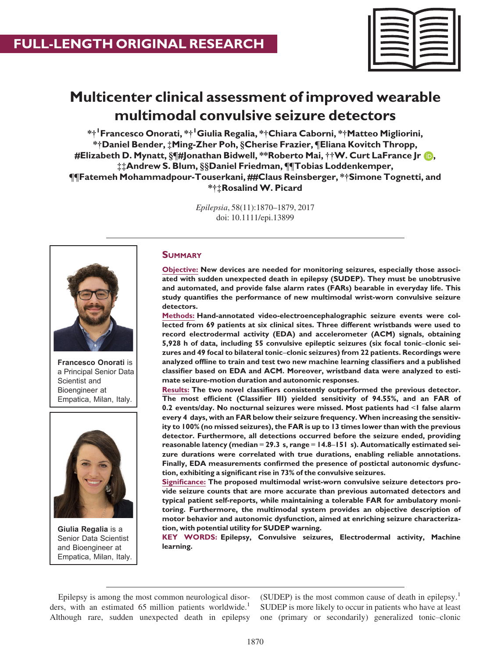

# Multicenter clinical assessment of improved wearable multimodal convulsive seizure detectors

\*†<sup>1</sup>Francesco Onorati, \*†<sup>1</sup>Giulia Regalia, \*†Chiara Caborni, \*†Matteo Migliorini, \*†Daniel Bender, ‡Ming-Zher Poh, §Cherise Frazier, ¶Eliana Kovitch Thropp, #Elizabeth D. Mynatt, §¶#Jonathan Bidwell, \*\*Robe[r](http://orcid.org/0000-0002-4901-3852)to Mai, ††W. Curt LaFrance Jr **D**, ‡‡Andrew S. Blum, §§Daniel Friedman, ¶¶Tobias Loddenkemper, ¶¶Fatemeh Mohammadpour-Touserkani, ##Claus Reinsberger, \*†Simone Tognetti, and \*†‡RosalindW. Picard

> Epilepsia, 58(11):1870–1879, 2017 doi: 10.1111/epi.13899



Francesco Onorati is a Principal Senior Data Scientist and Bioengineer at Empatica, Milan, Italy.



Giulia Regalia is a Senior Data Scientist and Bioengineer at Empatica, Milan, Italy.

## **SUMMARY**

Objective: New devices are needed for monitoring seizures, especially those associated with sudden unexpected death in epilepsy (SUDEP). They must be unobtrusive and automated, and provide false alarm rates (FARs) bearable in everyday life. This study quantifies the performance of new multimodal wrist-worn convulsive seizure detectors.

Methods: Hand-annotated video-electroencephalographic seizure events were collected from 69 patients at six clinical sites. Three different wristbands were used to record electrodermal activity (EDA) and accelerometer (ACM) signals, obtaining 5,928 h of data, including 55 convulsive epileptic seizures (six focal tonic–clonic seizures and 49 focal to bilateral tonic–clonic seizures) from 22 patients. Recordings were analyzed offline to train and test two new machine learning classifiers and a published classifier based on EDA and ACM. Moreover, wristband data were analyzed to estimate seizure-motion duration and autonomic responses.

Results: The two novel classifiers consistently outperformed the previous detector. The most efficient (Classifier III) yielded sensitivity of 94.55%, and an FAR of 0.2 events/day. No nocturnal seizures were missed. Most patients had <1 false alarm every 4 days, with an FAR below their seizure frequency. When increasing the sensitivity to 100% (no missed seizures), the FAR is up to 13 times lower than with the previous detector. Furthermore, all detections occurred before the seizure ended, providing reasonable latency (median = 29.3 s, range =  $14.8-151$  s). Automatically estimated seizure durations were correlated with true durations, enabling reliable annotations. Finally, EDA measurements confirmed the presence of postictal autonomic dysfunction, exhibiting a significant rise in 73% of the convulsive seizures.

Significance: The proposed multimodal wrist-worn convulsive seizure detectors provide seizure counts that are more accurate than previous automated detectors and typical patient self-reports, while maintaining a tolerable FAR for ambulatory monitoring. Furthermore, the multimodal system provides an objective description of motor behavior and autonomic dysfunction, aimed at enriching seizure characterization, with potential utility for SUDEP warning.

KEY WORDS: Epilepsy, Convulsive seizures, Electrodermal activity, Machine learning.

Epilepsy is among the most common neurological disorders, with an estimated 65 million patients worldwide.<sup>1</sup> Although rare, sudden unexpected death in epilepsy

(SUDEP) is the most common cause of death in epilepsy.<sup>1</sup> SUDEP is more likely to occur in patients who have at least one (primary or secondarily) generalized tonic–clonic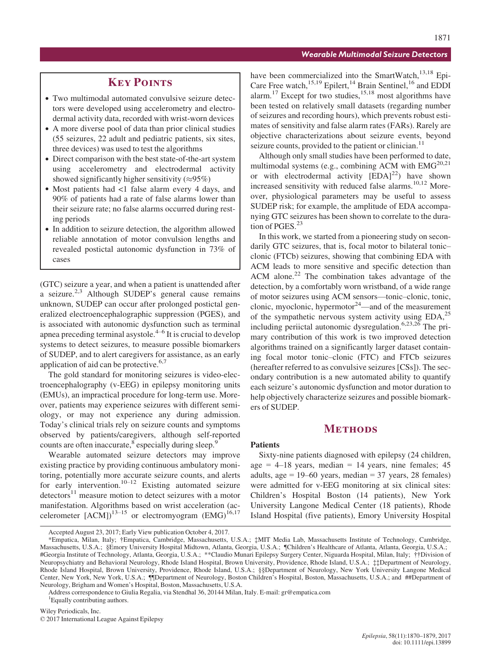## **KEY POINTS**

- Two multimodal automated convulsive seizure detectors were developed using accelerometry and electrodermal activity data, recorded with wrist-worn devices
- A more diverse pool of data than prior clinical studies (55 seizures, 22 adult and pediatric patients, six sites, three devices) was used to test the algorithms
- Direct comparison with the best state-of-the-art system using accelerometry and electrodermal activity showed significantly higher sensitivity ( $\approx 95\%$ )
- Most patients had <1 false alarm every 4 days, and 90% of patients had a rate of false alarms lower than their seizure rate; no false alarms occurred during resting periods
- In addition to seizure detection, the algorithm allowed reliable annotation of motor convulsion lengths and revealed postictal autonomic dysfunction in 73% of cases

(GTC) seizure a year, and when a patient is unattended after a seizure. $2,3$  Although SUDEP's general cause remains unknown, SUDEP can occur after prolonged postictal generalized electroencephalographic suppression (PGES), and is associated with autonomic dysfunction such as terminal apnea preceding terminal asystole. $4-6$  It is crucial to develop systems to detect seizures, to measure possible biomarkers of SUDEP, and to alert caregivers for assistance, as an early application of aid can be protective.<sup>6,7</sup>

The gold standard for monitoring seizures is video-electroencephalography (v-EEG) in epilepsy monitoring units (EMUs), an impractical procedure for long-term use. Moreover, patients may experience seizures with different semiology, or may not experience any during admission. Today's clinical trials rely on seizure counts and symptoms observed by patients/caregivers, although self-reported counts are often inaccurate, $8$  especially during sleep.<sup>9</sup>

Wearable automated seizure detectors may improve existing practice by providing continuous ambulatory monitoring, potentially more accurate seizure counts, and alerts for early intervention.<sup>10–12</sup> Existing automated seizure  $\det$  detectors<sup>11</sup> measure motion to detect seizures with a motor manifestation. Algorithms based on wrist acceleration (accelerometer  $[ACM]$ <sup>13–15</sup> or electromyogram  $(EMG)$ <sup>16,17</sup>

have been commercialized into the SmartWatch,<sup>13,18</sup> Epi-Care Free watch,<sup>15,19</sup> Epilert,<sup>14</sup> Brain Sentinel,<sup>16</sup> and EDDI alarm.<sup>17</sup> Except for two studies,<sup>15,18</sup> most algorithms have been tested on relatively small datasets (regarding number of seizures and recording hours), which prevents robust estimates of sensitivity and false alarm rates (FARs). Rarely are objective characterizations about seizure events, beyond seizure counts, provided to the patient or clinician.<sup>11</sup>

Although only small studies have been performed to date, multimodal systems (e.g., combining ACM with  $EMG<sup>20,21</sup>$ or with electrodermal activity  $[EDA]^{22}$ ) have shown increased sensitivity with reduced false alarms. $10,12$  Moreover, physiological parameters may be useful to assess SUDEP risk; for example, the amplitude of EDA accompanying GTC seizures has been shown to correlate to the duration of PGES. $^{23}$ 

In this work, we started from a pioneering study on secondarily GTC seizures, that is, focal motor to bilateral tonic– clonic (FTCb) seizures, showing that combining EDA with ACM leads to more sensitive and specific detection than ACM alone. $^{22}$  The combination takes advantage of the detection, by a comfortably worn wristband, of a wide range of motor seizures using ACM sensors—tonic–clonic, tonic, clonic, myoclonic, hypermotor $24$ —and of the measurement of the sympathetic nervous system activity using  $EDA$ ,<sup>25</sup> including periictal autonomic dysregulation.6,23,26 The primary contribution of this work is two improved detection algorithms trained on a significantly larger dataset containing focal motor tonic–clonic (FTC) and FTCb seizures (hereafter referred to as convulsive seizures [CSs]). The secondary contribution is a new automated ability to quantify each seizure's autonomic dysfunction and motor duration to help objectively characterize seizures and possible biomarkers of SUDEP.

## **METHODS**

#### Patients

Sixty-nine patients diagnosed with epilepsy (24 children, age =  $4-18$  years, median = 14 years, nine females; 45 adults, age  $= 19-60$  years, median  $= 37$  years, 28 females) were admitted for v-EEG monitoring at six clinical sites: Children's Hospital Boston (14 patients), New York University Langone Medical Center (18 patients), Rhode Island Hospital (five patients), Emory University Hospital

1 Equally contributing authors.

Accepted August 23, 2017; Early View publication October 4, 2017.

<sup>\*</sup>Empatica, Milan, Italy; †Empatica, Cambridge, Massachusetts, U.S.A.; ‡MIT Media Lab, Massachusetts Institute of Technology, Cambridge, Massachusetts, U.S.A.; §Emory University Hospital Midtown, Atlanta, Georgia, U.S.A.; ¶Children's Healthcare of Atlanta, Atlanta, Georgia, U.S.A.; #Georgia Institute of Technology, Atlanta, Georgia, U.S.A.; \*\*Claudio Munari Epilepsy Surgery Center, Niguarda Hospital, Milan, Italy; ††Division of Neuropsychiatry and Behavioral Neurology, Rhode Island Hospital, Brown University, Providence, Rhode Island, U.S.A.; ‡‡Department of Neurology, Rhode Island Hospital, Brown University, Providence, Rhode Island, U.S.A.; §§Department of Neurology, New York University Langone Medical Center, New York, New York, U.S.A.; ¶¶Department of Neurology, Boston Children's Hospital, Boston, Massachusetts, U.S.A.; and ##Department of Neurology, Brigham and Women's Hospital, Boston, Massachusetts, U.S.A.

Address correspondence to Giulia Regalia, via Stendhal 36, 20144 Milan, Italy. E-mail: gr@empatica.com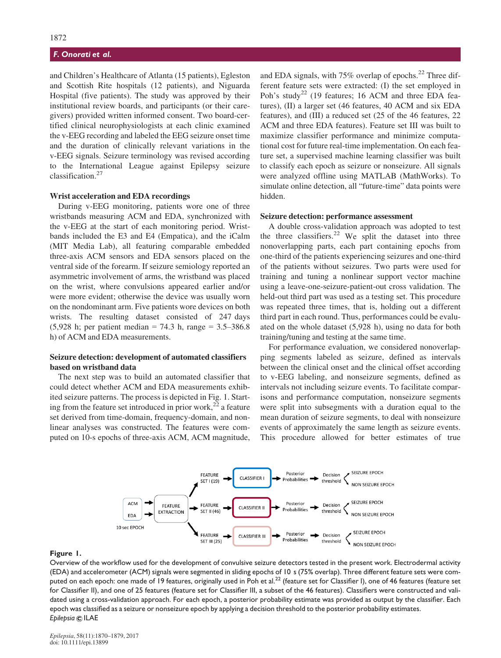and Children's Healthcare of Atlanta (15 patients), Egleston and Scottish Rite hospitals (12 patients), and Niguarda Hospital (five patients). The study was approved by their institutional review boards, and participants (or their caregivers) provided written informed consent. Two board-certified clinical neurophysiologists at each clinic examined the v-EEG recording and labeled the EEG seizure onset time and the duration of clinically relevant variations in the v-EEG signals. Seizure terminology was revised according to the International League against Epilepsy seizure classification.<sup>27</sup>

#### Wrist acceleration and EDA recordings

During v-EEG monitoring, patients wore one of three wristbands measuring ACM and EDA, synchronized with the v-EEG at the start of each monitoring period. Wristbands included the E3 and E4 (Empatica), and the iCalm (MIT Media Lab), all featuring comparable embedded three-axis ACM sensors and EDA sensors placed on the ventral side of the forearm. If seizure semiology reported an asymmetric involvement of arms, the wristband was placed on the wrist, where convulsions appeared earlier and/or were more evident; otherwise the device was usually worn on the nondominant arm. Five patients wore devices on both wrists. The resulting dataset consisted of 247 days (5,928 h; per patient median = 74.3 h, range = 3.5–386.8 h) of ACM and EDA measurements.

#### Seizure detection: development of automated classifiers based on wristband data

The next step was to build an automated classifier that could detect whether ACM and EDA measurements exhibited seizure patterns. The process is depicted in Fig. 1. Starting from the feature set introduced in prior work,<sup>22</sup> a feature set derived from time-domain, frequency-domain, and nonlinear analyses was constructed. The features were computed on 10-s epochs of three-axis ACM, ACM magnitude, and EDA signals, with  $75\%$  overlap of epochs.<sup>22</sup> Three different feature sets were extracted: (I) the set employed in Poh's study<sup>22</sup> (19 features; 16 ACM and three EDA features), (II) a larger set (46 features, 40 ACM and six EDA features), and (III) a reduced set (25 of the 46 features, 22 ACM and three EDA features). Feature set III was built to maximize classifier performance and minimize computational cost for future real-time implementation. On each feature set, a supervised machine learning classifier was built to classify each epoch as seizure or nonseizure. All signals were analyzed offline using MATLAB (MathWorks). To simulate online detection, all "future-time" data points were hidden.

#### Seizure detection: performance assessment

A double cross-validation approach was adopted to test the three classifiers.<sup>22</sup> We split the dataset into three nonoverlapping parts, each part containing epochs from one-third of the patients experiencing seizures and one-third of the patients without seizures. Two parts were used for training and tuning a nonlinear support vector machine using a leave-one-seizure-patient-out cross validation. The held-out third part was used as a testing set. This procedure was repeated three times, that is, holding out a different third part in each round. Thus, performances could be evaluated on the whole dataset (5,928 h), using no data for both training/tuning and testing at the same time.

For performance evaluation, we considered nonoverlapping segments labeled as seizure, defined as intervals between the clinical onset and the clinical offset according to v-EEG labeling, and nonseizure segments, defined as intervals not including seizure events. To facilitate comparisons and performance computation, nonseizure segments were split into subsegments with a duration equal to the mean duration of seizure segments, to deal with nonseizure events of approximately the same length as seizure events. This procedure allowed for better estimates of true



#### Figure 1.

Overview of the workflow used for the development of convulsive seizure detectors tested in the present work. Electrodermal activity (EDA) and accelerometer (ACM) signals were segmented in sliding epochs of 10 s (75% overlap). Three different feature sets were computed on each epoch: one made of 19 features, originally used in Poh et al.<sup>22</sup> (feature set for Classifier I), one of 46 features (feature set for Classifier II), and one of 25 features (feature set for Classifier III, a subset of the 46 features). Classifiers were constructed and validated using a cross-validation approach. For each epoch, a posterior probability estimate was provided as output by the classifier. Each epoch was classified as a seizure or nonseizure epoch by applying a decision threshold to the posterior probability estimates. Epilepsia © ILAE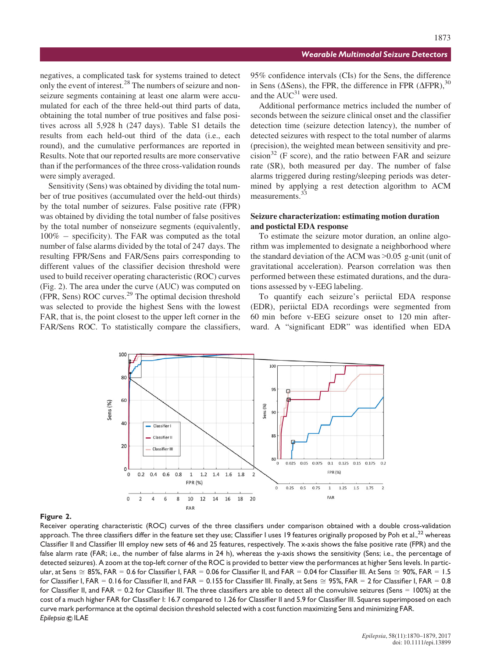negatives, a complicated task for systems trained to detect only the event of interest.<sup>28</sup> The numbers of seizure and nonseizure segments containing at least one alarm were accumulated for each of the three held-out third parts of data, obtaining the total number of true positives and false positives across all 5,928 h (247 days). Table S1 details the results from each held-out third of the data (i.e., each round), and the cumulative performances are reported in Results. Note that our reported results are more conservative than if the performances of the three cross-validation rounds were simply averaged.

Sensitivity (Sens) was obtained by dividing the total number of true positives (accumulated over the held-out thirds) by the total number of seizures. False positive rate (FPR) was obtained by dividing the total number of false positives by the total number of nonseizure segments (equivalently,  $100\%$  – specificity). The FAR was computed as the total number of false alarms divided by the total of 247 days. The resulting FPR/Sens and FAR/Sens pairs corresponding to different values of the classifier decision threshold were used to build receiver operating characteristic (ROC) curves (Fig. 2). The area under the curve (AUC) was computed on (FPR, Sens) ROC curves.<sup>29</sup> The optimal decision threshold was selected to provide the highest Sens with the lowest FAR, that is, the point closest to the upper left corner in the FAR/Sens ROC. To statistically compare the classifiers,

95% confidence intervals (CIs) for the Sens, the difference in Sens ( $\Delta$ Sens), the FPR, the difference in FPR ( $\Delta$ FPR),  $30$ and the  $AUC^{31}$  were used.

Additional performance metrics included the number of seconds between the seizure clinical onset and the classifier detection time (seizure detection latency), the number of detected seizures with respect to the total number of alarms (precision), the weighted mean between sensitivity and pre $cision<sup>32</sup>$  (F score), and the ratio between FAR and seizure rate (SR), both measured per day. The number of false alarms triggered during resting/sleeping periods was determined by applying a rest detection algorithm to ACM measurements.<sup>33</sup>

## Seizure characterization: estimating motion duration and postictal EDA response

To estimate the seizure motor duration, an online algorithm was implemented to designate a neighborhood where the standard deviation of the ACM was >0.05 g-unit (unit of gravitational acceleration). Pearson correlation was then performed between these estimated durations, and the durations assessed by v-EEG labeling.

To quantify each seizure's periictal EDA response (EDR), periictal EDA recordings were segmented from 60 min before v-EEG seizure onset to 120 min afterward. A "significant EDR" was identified when EDA



#### Figure 2.

Receiver operating characteristic (ROC) curves of the three classifiers under comparison obtained with a double cross-validation approach. The three classifiers differ in the feature set they use; Classifier I uses 19 features originally proposed by Poh et al.,<sup>22</sup> whereas Classifier II and Classifier III employ new sets of 46 and 25 features, respectively. The x-axis shows the false positive rate (FPR) and the false alarm rate (FAR; i.e., the number of false alarms in 24 h), whereas the y-axis shows the sensitivity (Sens; i.e., the percentage of detected seizures). A zoom at the top-left corner of the ROC is provided to better view the performances at higher Sens levels. In particular, at Sens  $\cong$  85%, FAR = 0.6 for Classifier I, FAR = 0.06 for Classifier II, and FAR = 0.04 for Classifier III. At Sens  $\cong$  90%, FAR = 1.5 for Classifier I, FAR = 0.16 for Classifier II, and FAR = 0.155 for Classifier III. Finally, at Sens  $\cong$  95%, FAR = 2 for Classifier I, FAR = 0.8 for Classifier II, and FAR = 0.2 for Classifier III. The three classifiers are able to detect all the convulsive seizures (Sens =  $100\%$ ) at the cost of a much higher FAR for Classifier I: 16.7 compared to 1.26 for Classifier II and 5.9 for Classifier III. Squares superimposed on each curve mark performance at the optimal decision threshold selected with a cost function maximizing Sens and minimizing FAR. Epilepsia © ILAE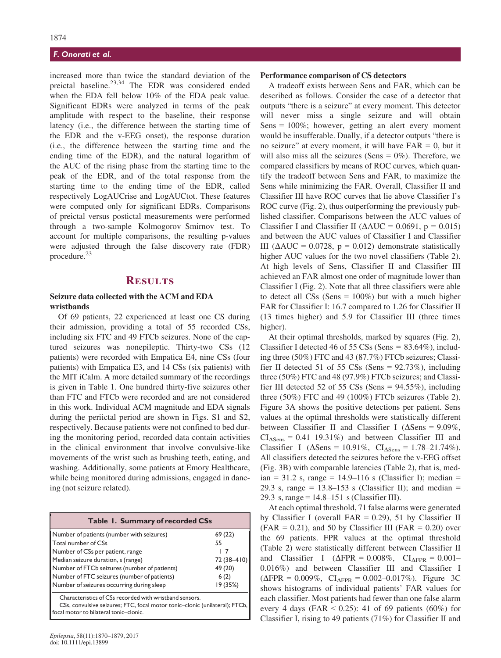increased more than twice the standard deviation of the preictal baseline.<sup>23,34</sup> The EDR was considered ended when the EDA fell below 10% of the EDA peak value. Significant EDRs were analyzed in terms of the peak amplitude with respect to the baseline, their response latency (i.e., the difference between the starting time of the EDR and the v-EEG onset), the response duration (i.e., the difference between the starting time and the ending time of the EDR), and the natural logarithm of the AUC of the rising phase from the starting time to the peak of the EDR, and of the total response from the starting time to the ending time of the EDR, called respectively LogAUCrise and LogAUCtot. These features were computed only for significant EDRs. Comparisons of preictal versus postictal measurements were performed through a two-sample Kolmogorov–Smirnov test. To account for multiple comparisons, the resulting p-values were adjusted through the false discovery rate (FDR) procedure.<sup>23</sup>

## **RESULTS**

## Seizure data collected with the ACM and EDA wristbands

Of 69 patients, 22 experienced at least one CS during their admission, providing a total of 55 recorded CSs, including six FTC and 49 FTCb seizures. None of the captured seizures was nonepileptic. Thirty-two CSs (12 patients) were recorded with Empatica E4, nine CSs (four patients) with Empatica E3, and 14 CSs (six patients) with the MIT iCalm. A more detailed summary of the recordings is given in Table 1. One hundred thirty-five seizures other than FTC and FTCb were recorded and are not considered in this work. Individual ACM magnitude and EDA signals during the periictal period are shown in Figs. S1 and S2, respectively. Because patients were not confined to bed during the monitoring period, recorded data contain activities in the clinical environment that involve convulsive-like movements of the wrist such as brushing teeth, eating, and washing. Additionally, some patients at Emory Healthcare, while being monitored during admissions, engaged in dancing (not seizure related).

| Table 1. Summary of recorded CSs             |             |  |
|----------------------------------------------|-------------|--|
| Number of patients (number with seizures)    | 69(22)      |  |
| Total number of CSs                          | 55          |  |
| Number of CSs per patient, range             | $1 - 7$     |  |
| Median seizure duration, s (range)           | 72 (38-410) |  |
| Number of FTCb seizures (number of patients) | 49 (20)     |  |
| Number of FTC seizures (number of patients)  | 6(2)        |  |
| Number of seizures occurring during sleep    | 19 (35%)    |  |
| .<br>-                                       |             |  |

Characteristics of CSs recorded with wristband sensors.

CSs, convulsive seizures; FTC, focal motor tonic–clonic (unilateral); FTCb, focal motor to bilateral tonic–clonic.

#### Performance comparison of CS detectors

A tradeoff exists between Sens and FAR, which can be described as follows. Consider the case of a detector that outputs "there is a seizure" at every moment. This detector will never miss a single seizure and will obtain Sens  $= 100\%$ ; however, getting an alert every moment would be insufferable. Dually, if a detector outputs "there is no seizure" at every moment, it will have  $FAR = 0$ , but it will also miss all the seizures (Sens  $= 0\%$ ). Therefore, we compared classifiers by means of ROC curves, which quantify the tradeoff between Sens and FAR, to maximize the Sens while minimizing the FAR. Overall, Classifier II and Classifier III have ROC curves that lie above Classifier I's ROC curve (Fig. 2), thus outperforming the previously published classifier. Comparisons between the AUC values of Classifier I and Classifier II ( $\triangle AUC = 0.0691$ , p = 0.015) and between the AUC values of Classifier I and Classifier III ( $\triangle AUC = 0.0728$ , p = 0.012) demonstrate statistically higher AUC values for the two novel classifiers (Table 2). At high levels of Sens, Classifier II and Classifier III achieved an FAR almost one order of magnitude lower than Classifier I (Fig. 2). Note that all three classifiers were able to detect all CSs (Sens  $= 100\%$ ) but with a much higher FAR for Classifier I: 16.7 compared to 1.26 for Classifier II (13 times higher) and 5.9 for Classifier III (three times higher).

At their optimal thresholds, marked by squares (Fig. 2), Classifier I detected 46 of 55 CSs (Sens =  $83.64\%$ ), including three (50%) FTC and 43 (87.7%) FTCb seizures; Classifier II detected 51 of 55 CSs (Sens =  $92.73\%$ ), including three (50%) FTC and 48 (97.9%) FTCb seizures; and Classifier III detected 52 of 55 CSs (Sens =  $94.55\%$ ), including three  $(50\%)$  FTC and 49  $(100\%)$  FTCb seizures (Table 2). Figure 3A shows the positive detections per patient. Sens values at the optimal thresholds were statistically different between Classifier II and Classifier I ( $\Delta$ Sens = 9.09%,  $CI<sub>ASens</sub> = 0.41–19.31%)$  and between Classifier III and Classifier I ( $\Delta$ Sens = 10.91%, CI $_{\Delta$ Sens = 1.78–21.74%). All classifiers detected the seizures before the v-EEG offset (Fig. 3B) with comparable latencies (Table 2), that is, med- $\tau$ ian = 31.2 s, range = 14.9–116 s (Classifier I); median = 29.3 s, range =  $13.8-153$  s (Classifier II); and median = 29.3 s, range = 14.8–151 s (Classifier III).

At each optimal threshold, 71 false alarms were generated by Classifier I (overall FAR =  $0.29$ ), 51 by Classifier II  $(FAR = 0.21)$ , and 50 by Classifier III (FAR = 0.20) over the 69 patients. FPR values at the optimal threshold (Table 2) were statistically different between Classifier II and Classifier I ( $\triangle$ FPR = 0.008%, CI $_{\triangle$ FPR = 0.001– 0.016%) and between Classifier III and Classifier I  $(\Delta FPR = 0.009\%, \text{ CI}_{\Delta FPR} = 0.002 - 0.017\%).$  Figure 3C shows histograms of individual patients' FAR values for each classifier. Most patients had fewer than one false alarm every 4 days (FAR < 0.25): 41 of 69 patients (60%) for Classifier I, rising to 49 patients (71%) for Classifier II and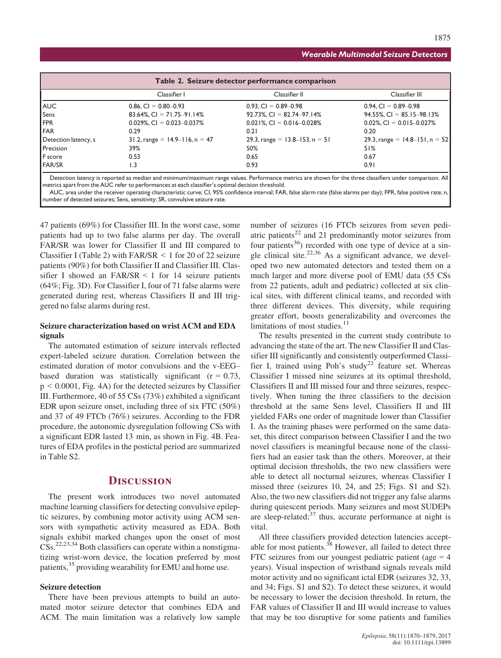| Table 2. Seizure detector performance comparison |                                     |                                     |                                     |
|--------------------------------------------------|-------------------------------------|-------------------------------------|-------------------------------------|
|                                                  | Classifier I                        | Classifier II                       | Classifier III                      |
| AUC                                              | $0.86$ , CI = $0.80 - 0.93$         | $0.93$ , CI = $0.89 - 0.98$         | $0.94$ , CI = $0.89 - 0.98$         |
| Sens                                             | $83.64\%$ , CI = 71.75-91.14%       | $92.73\%$ , CI = 82.74-97.14%       | $94.55\%$ , CI = 85.15-98.13%       |
| FPR                                              | $0.029\%$ , CI = 0.023-0.037%       | $0.021\%$ , CI = 0.016-0.028%       | $0.02\%$ , CI = 0.015-0.027%        |
| FAR                                              | 0.29                                | 0.21                                | 0.20                                |
| Detection latency, s                             | 31.2, range = $14.9 - 116$ , n = 47 | 29.3, range = $13.8 - 153$ , n = 51 | 29.3, range = $14.8 - 151$ , n = 52 |
| Precision                                        | 39%                                 | 50%                                 | 51%                                 |
| F score                                          | 0.53                                | 0.65                                | 0.67                                |
| FAR/SR                                           | 1.3                                 | 0.93                                | 0.91                                |

Detection latency is reported as median and minimum/maximum range values. Performance metrics are shown for the three classifiers under comparison. All metrics apart from the AUC refer to performances at each classifier's optimal decision threshold.

AUC, area under the receiver operating characteristic curve; CI, 95% confidence interval; FAR, false alarm rate (false alarms per day); FPR, false positive rate; n number of detected seizures; Sens, sensitivity; SR, convulsive seizure rate.

47 patients (69%) for Classifier III. In the worst case, some patients had up to two false alarms per day. The overall FAR/SR was lower for Classifier II and III compared to Classifier I (Table 2) with  $FAR/SR < 1$  for 20 of 22 seizure patients (90%) for both Classifier II and Classifier III. Classifier I showed an FAR/SR  $\leq$  1 for 14 seizure patients (64%; Fig. 3D). For Classifier I, four of 71 false alarms were generated during rest, whereas Classifiers II and III triggered no false alarms during rest.

## Seizure characterization based on wrist ACM and EDA signals

The automated estimation of seizure intervals reflected expert-labeled seizure duration. Correlation between the estimated duration of motor convulsions and the v-EEG– based duration was statistically significant  $(r = 0.73)$ ,  $p < 0.0001$ , Fig. 4A) for the detected seizures by Classifier III. Furthermore, 40 of 55 CSs (73%) exhibited a significant EDR upon seizure onset, including three of six FTC (50%) and 37 of 49 FTCb (76%) seizures. According to the FDR procedure, the autonomic dysregulation following CSs with a significant EDR lasted 13 min, as shown in Fig. 4B. Features of EDA profiles in the postictal period are summarized in Table S2.

## **DISCUSSION**

The present work introduces two novel automated machine learning classifiers for detecting convulsive epileptic seizures, by combining motor activity using ACM sensors with sympathetic activity measured as EDA. Both signals exhibit marked changes upon the onset of most  $\text{CSs.}^{22,23,34}$  Both classifiers can operate within a nonstigmatizing wrist-worn device, the location preferred by most patients,<sup>35</sup> providing wearability for EMU and home use.

#### Seizure detection

There have been previous attempts to build an automated motor seizure detector that combines EDA and ACM. The main limitation was a relatively low sample

number of seizures (16 FTCb seizures from seven pediatric patients $^{22}$  and 21 predominantly motor seizures from four patients<sup>36</sup>) recorded with one type of device at a single clinical site.<sup>22,36</sup> As a significant advance, we developed two new automated detectors and tested them on a much larger and more diverse pool of EMU data (55 CSs from 22 patients, adult and pediatric) collected at six clinical sites, with different clinical teams, and recorded with three different devices. This diversity, while requiring greater effort, boosts generalizability and overcomes the limitations of most studies. $11$ 

The results presented in the current study contribute to advancing the state of the art. The new Classifier II and Classifier III significantly and consistently outperformed Classifier I, trained using Poh's study<sup>22</sup> feature set. Whereas Classifier I missed nine seizures at its optimal threshold, Classifiers II and III missed four and three seizures, respectively. When tuning the three classifiers to the decision threshold at the same Sens level, Classifiers II and III yielded FARs one order of magnitude lower than Classifier I. As the training phases were performed on the same dataset, this direct comparison between Classifier I and the two novel classifiers is meaningful because none of the classifiers had an easier task than the others. Moreover, at their optimal decision thresholds, the two new classifiers were able to detect all nocturnal seizures, whereas Classifier I missed three (seizures 10, 24, and 25; Figs. S1 and S2). Also, the two new classifiers did not trigger any false alarms during quiescent periods. Many seizures and most SUDEPs are sleep-related; $37$  thus, accurate performance at night is vital.

All three classifiers provided detection latencies acceptable for most patients.<sup>38</sup> However, all failed to detect three FTC seizures from our youngest pediatric patient (age  $=$  4 years). Visual inspection of wristband signals reveals mild motor activity and no significant ictal EDR (seizures 32, 33, and 34; Figs. S1 and S2). To detect these seizures, it would be necessary to lower the decision threshold. In return, the FAR values of Classifier II and III would increase to values that may be too disruptive for some patients and families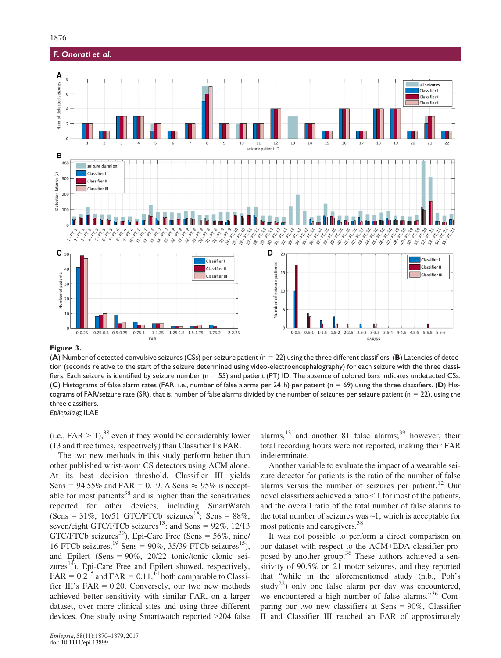

#### Figure 3.

(A) Number of detected convulsive seizures (CSs) per seizure patient ( $n = 22$ ) using the three different classifiers. (B) Latencies of detection (seconds relative to the start of the seizure determined using video-electroencephalography) for each seizure with the three classifiers. Each seizure is identified by seizure number (n = 55) and patient (PT) ID. The absence of colored bars indicates undetected CSs. (C) Histograms of false alarm rates (FAR; i.e., number of false alarms per 24 h) per patient ( $n = 69$ ) using the three classifiers. (D) Histograms of FAR/seizure rate (SR), that is, number of false alarms divided by the number of seizures per seizure patient ( $n = 22$ ), using the three classifiers. Epilepsia © ILAE

(i.e.,  $FAR > 1$ ), <sup>38</sup> even if they would be considerably lower (13 and three times, respectively) than Classifier I's FAR.

The two new methods in this study perform better than other published wrist-worn CS detectors using ACM alone. At its best decision threshold, Classifier III yields Sens = 94.55% and FAR = 0.19. A Sens  $\approx$  95% is acceptable for most patients<sup>38</sup> and is higher than the sensitivities reported for other devices, including SmartWatch (Sens = 31%, 16/51 GTC/FTCb seizures<sup>18</sup>; Sens = 88%, seven/eight GTC/FTCb seizures<sup>13</sup>; and Sens =  $92\%$ , 12/13 GTC/FTCb seizures<sup>39</sup>), Epi-Care Free (Sens =  $56\%$ , nine/ 16 FTCb seizures,  $^{19}$  Sens = 90%, 35/39 FTCb seizures<sup>15</sup>), and Epilert (Sens = 90%, 20/22 tonic/tonic–clonic seizures<sup>14</sup>). Epi-Care Free and Epilert showed, respectively, FAR =  $0.2^{15}$  and FAR =  $0.11$ ,  $^{14}$  both comparable to Classifier III's FAR  $= 0.20$ . Conversely, our two new methods achieved better sensitivity with similar FAR, on a larger dataset, over more clinical sites and using three different devices. One study using Smartwatch reported >204 false alarms, $13$  and another 81 false alarms; $39$  however, their total recording hours were not reported, making their FAR indeterminate.

Another variable to evaluate the impact of a wearable seizure detector for patients is the ratio of the number of false alarms versus the number of seizures per patient.<sup>12</sup> Our novel classifiers achieved a ratio < 1 for most of the patients, and the overall ratio of the total number of false alarms to the total number of seizures was  $\sim$ 1, which is acceptable for most patients and caregivers.<sup>38</sup>

It was not possible to perform a direct comparison on our dataset with respect to the ACM+EDA classifier proposed by another group.<sup>36</sup> These authors achieved a sensitivity of 90.5% on 21 motor seizures, and they reported that "while in the aforementioned study (n.b., Poh's study<sup>22</sup>) only one false alarm per day was encountered, we encountered a high number of false alarms."<sup>36</sup> Comparing our two new classifiers at Sens = 90%, Classifier II and Classifier III reached an FAR of approximately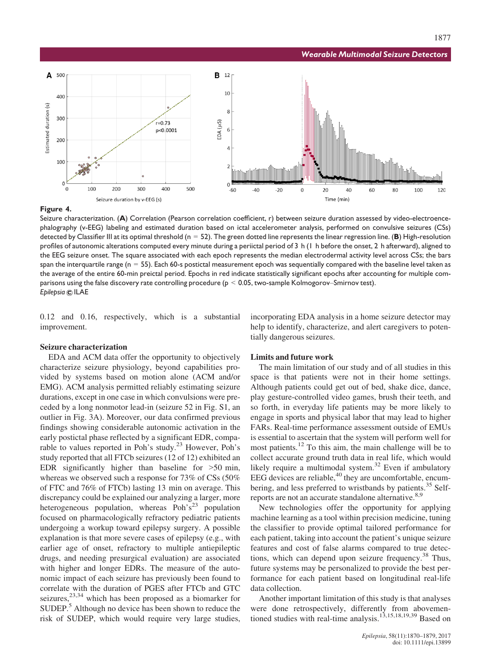

#### Figure 4.

Seizure characterization. (A) Correlation (Pearson correlation coefficient, r) between seizure duration assessed by video-electroencephalography (v-EEG) labeling and estimated duration based on ictal accelerometer analysis, performed on convulsive seizures (CSs) detected by Classifier III at its optimal threshold ( $n = 52$ ). The green dotted line represents the linear regression line. (B) High-resolution profiles of autonomic alterations computed every minute during a periictal period of 3 h (1 h before the onset, 2 h afterward), aligned to the EEG seizure onset. The square associated with each epoch represents the median electrodermal activity level across CSs; the bars span the interquartile range ( $n = 55$ ). Each 60-s postictal measurement epoch was sequentially compared with the baseline level taken as the average of the entire 60-min preictal period. Epochs in red indicate statistically significant epochs after accounting for multiple comparisons using the false discovery rate controlling procedure ( $p < 0.05$ , two-sample Kolmogorov–Smirnov test). Epilepsia © ILAE

0.12 and 0.16, respectively, which is a substantial improvement.

#### Seizure characterization

EDA and ACM data offer the opportunity to objectively characterize seizure physiology, beyond capabilities provided by systems based on motion alone (ACM and/or EMG). ACM analysis permitted reliably estimating seizure durations, except in one case in which convulsions were preceded by a long nonmotor lead-in (seizure 52 in Fig. S1, an outlier in Fig. 3A). Moreover, our data confirmed previous findings showing considerable autonomic activation in the early postictal phase reflected by a significant EDR, comparable to values reported in Poh's study.<sup>23</sup> However, Poh's study reported that all FTCb seizures (12 of 12) exhibited an EDR significantly higher than baseline for >50 min, whereas we observed such a response for 73% of CSs (50% of FTC and 76% of FTCb) lasting 13 min on average. This discrepancy could be explained our analyzing a larger, more heterogeneous population, whereas Poh's<sup>23</sup> population focused on pharmacologically refractory pediatric patients undergoing a workup toward epilepsy surgery. A possible explanation is that more severe cases of epilepsy (e.g., with earlier age of onset, refractory to multiple antiepileptic drugs, and needing presurgical evaluation) are associated with higher and longer EDRs. The measure of the autonomic impact of each seizure has previously been found to correlate with the duration of PGES after FTCb and GTC seizures, $23,34$  which has been proposed as a biomarker for SUDEP.<sup>5</sup> Although no device has been shown to reduce the risk of SUDEP, which would require very large studies,

incorporating EDA analysis in a home seizure detector may help to identify, characterize, and alert caregivers to potentially dangerous seizures.

#### Limits and future work

The main limitation of our study and of all studies in this space is that patients were not in their home settings. Although patients could get out of bed, shake dice, dance, play gesture-controlled video games, brush their teeth, and so forth, in everyday life patients may be more likely to engage in sports and physical labor that may lead to higher FARs. Real-time performance assessment outside of EMUs is essential to ascertain that the system will perform well for most patients.<sup>12</sup> To this aim, the main challenge will be to collect accurate ground truth data in real life, which would likely require a multimodal system.<sup>32</sup> Even if ambulatory EEG devices are reliable, $40$  they are uncomfortable, encumbering, and less preferred to wristbands by patients.<sup>35</sup> Selfreports are not an accurate standalone alternative.<sup>8,9</sup>

New technologies offer the opportunity for applying machine learning as a tool within precision medicine, tuning the classifier to provide optimal tailored performance for each patient, taking into account the patient's unique seizure features and cost of false alarms compared to true detections, which can depend upon seizure frequency.<sup>38</sup> Thus, future systems may be personalized to provide the best performance for each patient based on longitudinal real-life data collection.

Another important limitation of this study is that analyses were done retrospectively, differently from abovementioned studies with real-time analysis.13,15,18,19,39 Based on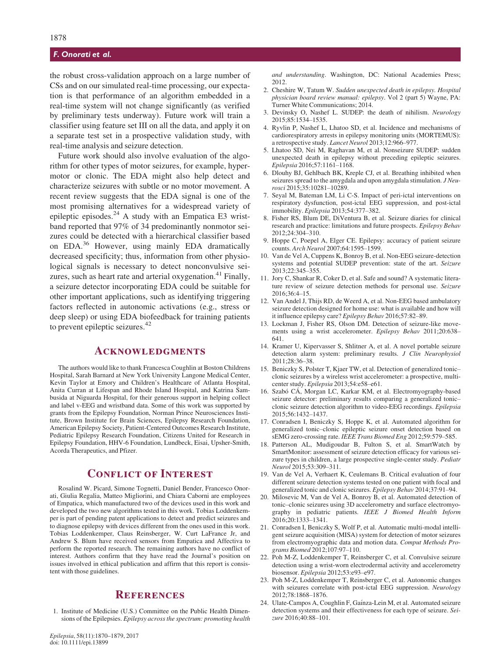the robust cross-validation approach on a large number of CSs and on our simulated real-time processing, our expectation is that performance of an algorithm embedded in a real-time system will not change significantly (as verified by preliminary tests underway). Future work will train a classifier using feature set III on all the data, and apply it on a separate test set in a prospective validation study, with real-time analysis and seizure detection.

Future work should also involve evaluation of the algorithm for other types of motor seizures, for example, hypermotor or clonic. The EDA might also help detect and characterize seizures with subtle or no motor movement. A recent review suggests that the EDA signal is one of the most promising alternatives for a widespread variety of epileptic episodes.<sup>24</sup> A study with an Empatica E3 wristband reported that 97% of 34 predominantly nonmotor seizures could be detected with a hierarchical classifier based on EDA.<sup>36</sup> However, using mainly EDA dramatically decreased specificity; thus, information from other physiological signals is necessary to detect nonconvulsive seizures, such as heart rate and arterial oxygenation.<sup>41</sup> Finally, a seizure detector incorporating EDA could be suitable for other important applications, such as identifying triggering factors reflected in autonomic activations (e.g., stress or deep sleep) or using EDA biofeedback for training patients to prevent epileptic seizures.<sup>42</sup>

## **ACKNOWLEDGMENTS**

The authors would like to thank Francesca Coughlin at Boston Childrens Hospital, Sarah Barnard at New York University Langone Medical Center, Kevin Taylor at Emory and Children's Healthcare of Atlanta Hospital, Anita Curran at Lifespan and Rhode Island Hospital, and Katrina Sambusida at Niguarda Hospital, for their generous support in helping collect and label v-EEG and wristband data. Some of this work was supported by grants from the Epilepsy Foundation, Norman Prince Neurosciences Institute, Brown Institute for Brain Sciences, Epilepsy Research Foundation, American Epilepsy Society, Patient-Centered Outcomes Research Institute, Pediatric Epilepsy Research Foundation, Citizens United for Research in Epilepsy Foundation, HHV-6 Foundation, Lundbeck, Eisai, Upsher-Smith, Acorda Therapeutics, and Pfizer.

## Conflict of Interest

Rosalind W. Picard, Simone Tognetti, Daniel Bender, Francesco Onorati, Giulia Regalia, Matteo Migliorini, and Chiara Caborni are employees of Empatica, which manufactured two of the devices used in this work and developed the two new algorithms tested in this work. Tobias Loddenkemper is part of pending patent applications to detect and predict seizures and to diagnose epilepsy with devices different from the ones used in this work. Tobias Loddenkemper, Claus Reinsberger, W. Curt LaFrance Jr, and Andrew S. Blum have received sensors from Empatica and Affectiva to perform the reported research. The remaining authors have no conflict of interest. Authors confirm that they have read the Journal's position on issues involved in ethical publication and affirm that this report is consistent with those guidelines.

## **REFERENCES**

1. Institute of Medicine (U.S.) Committee on the Public Health Dimensions of the Epilepsies. Epilepsy across the spectrum: promoting health and understanding. Washington, DC: National Academies Press; 2012.

- 2. Cheshire W, Tatum W. Sudden unexpected death in epilepsy. Hospital physician board review manual: epilepsy. Vol 2 (part 5) Wayne, PA: Turner White Communications; 2014.
- 3. Devinsky O, Nashef L. SUDEP: the death of nihilism. Neurology 2015;85:1534–1535.
- 4. Ryvlin P, Nashef L, Lhatoo SD, et al. Incidence and mechanisms of cardiorespiratory arrests in epilepsy monitoring units (MORTEMUS): a retrospective study. Lancet Neurol 2013;12:966–977.
- 5. Lhatoo SD, Nei M, Raghavan M, et al. Nonseizure SUDEP: sudden unexpected death in epilepsy without preceding epileptic seizures. Epilepsia 2016;57:1161–1168.
- 6. Dlouhy BJ, Gehlbach BK, Kreple CJ, et al. Breathing inhibited when seizures spread to the amygdala and upon amygdala stimulation. J Neurosci 2015;35:10281–10289.
- 7. Seyal M, Bateman LM, Li C-S. Impact of peri-ictal interventions on respiratory dysfunction, post-ictal EEG suppression, and post-ictal immobility. Epilepsia 2013;54:377–382.
- 8. Fisher RS, Blum DE, DiVentura B, et al. Seizure diaries for clinical research and practice: limitations and future prospects. Epilepsy Behav 2012;24:304–310.
- Hoppe C, Poepel A, Elger CE. Epilepsy: accuracy of patient seizure counts. Arch Neurol 2007;64:1595–1599.
- 10. Van de Vel A, Cuppens K, Bonroy B, et al. Non-EEG seizure-detection systems and potential SUDEP prevention: state of the art. Seizure 2013;22:345–355.
- 11. Jory C, Shankar R, Coker D, et al. Safe and sound? A systematic literature review of seizure detection methods for personal use. Seizure 2016;36:4–15.
- 12. Van Andel J, Thijs RD, de Weerd A, et al. Non-EEG based ambulatory seizure detection designed for home use: what is available and how will it influence epilepsy care? Epilepsy Behav 2016;57:82–89.
- 13. Lockman J, Fisher RS, Olson DM. Detection of seizure-like movements using a wrist accelerometer. Epilepsy Behav 2011;20:638– 641.
- 14. Kramer U, Kipervasser S, Shlitner A, et al. A novel portable seizure detection alarm system: preliminary results. J Clin Neurophysiol 2011;28:36–38.
- 15. Beniczky S, Polster T, Kjaer TW, et al. Detection of generalized tonic– clonic seizures by a wireless wrist accelerometer: a prospective, multicenter study. Epilepsia 2013;54:e58–e61.
- 16. Szabó CÁ, Morgan LC, Karkar KM, et al. Electromyography-based seizure detector: preliminary results comparing a generalized tonic– clonic seizure detection algorithm to video-EEG recordings. Epilepsia 2015;56:1432–1437.
- 17. Conradsen I, Beniczky S, Hoppe K, et al. Automated algorithm for generalized tonic–clonic epileptic seizure onset detection based on sEMG zero-crossing rate. IEEE Trans Biomed Eng 2012;59:579–585.
- 18. Patterson AL, Mudigoudar B, Fulton S, et al. SmartWatch by SmartMonitor: assessment of seizure detection efficacy for various seizure types in children, a large prospective single-center study. Pediatr Neurol 2015;53:309–311.
- 19. Van de Vel A, Verhaert K, Ceulemans B. Critical evaluation of four different seizure detection systems tested on one patient with focal and generalized tonic and clonic seizures. Epilepsy Behav 2014;37:91–94.
- 20. Milosevic M, Van de Vel A, Bonroy B, et al. Automated detection of tonic–clonic seizures using 3D accelerometry and surface electromyography in pediatric patients. IEEE J Biomed Health Inform 2016;20:1333–1341.
- 21. Conradsen I, Beniczky S, Wolf P, et al. Automatic multi-modal intelligent seizure acquisition (MISA) system for detection of motor seizures from electromyographic data and motion data. Comput Methods Programs Biomed 2012;107:97–110.
- 22. Poh M-Z, Loddenkemper T, Reinsberger C, et al. Convulsive seizure detection using a wrist-worn electrodermal activity and accelerometry biosensor. Epilepsia 2012;53:e93–e97.
- 23. Poh M-Z, Loddenkemper T, Reinsberger C, et al. Autonomic changes with seizures correlate with post-ictal EEG suppression. Neurology 2012;78:1868–1876.
- 24. Ulate-Campos A, Coughlin F, Gaínza-Lein M, et al. Automated seizure detection systems and their effectiveness for each type of seizure. Seizure 2016;40:88–101.